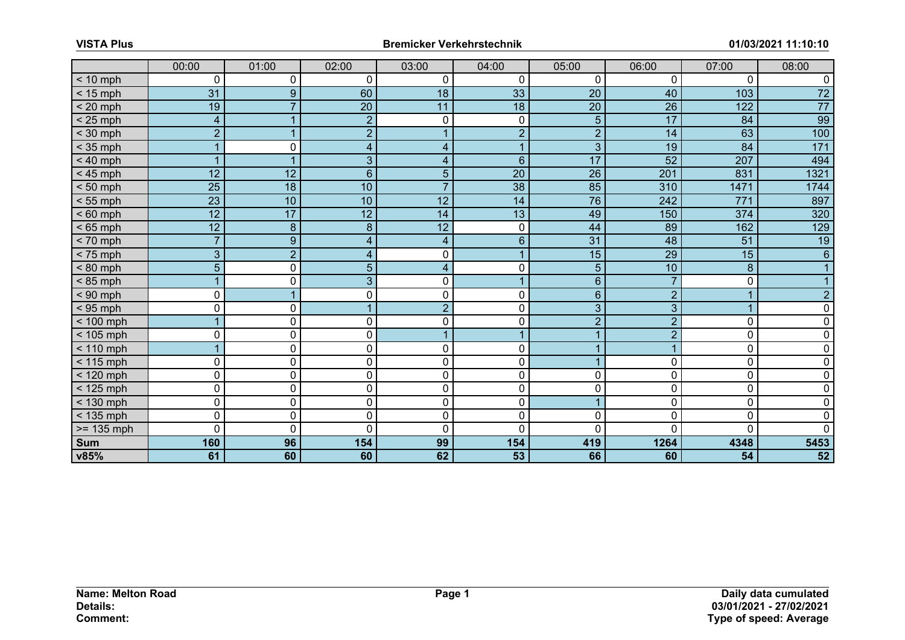|                        | 00:00                   | 01:00          | 02:00           | 03:00           | 04:00           | 05:00           | 06:00            | 07:00           | 08:00           |
|------------------------|-------------------------|----------------|-----------------|-----------------|-----------------|-----------------|------------------|-----------------|-----------------|
| $< 10$ mph             | $\mathbf 0$             | 0              | 0               | $\mathbf 0$     | 0               | $\overline{0}$  | 0                | 0               | $\mathbf{0}$    |
| $< 15$ mph             | 31                      | 9              | 60              | 18              | 33              | 20              | 40               | 103             | $\overline{72}$ |
| $< 20$ mph             | $\overline{19}$         | $\overline{7}$ | $\overline{20}$ | $\overline{11}$ | $\overline{18}$ | $\overline{20}$ | $\overline{26}$  | 122             | $\overline{77}$ |
| $< 25$ mph             | $\overline{\mathbf{4}}$ |                | $\overline{2}$  | $\mathbf 0$     | 0               | 5               | 17               | 84              | 99              |
| $<$ 30 mph             | $\overline{2}$          | $\overline{ }$ | $\overline{2}$  |                 | $\overline{2}$  | $\overline{2}$  | 14               | 63              | 100             |
| $<$ 35 mph             |                         | 0              | $\overline{4}$  | $\overline{4}$  | $\mathbf{1}$    | $\overline{3}$  | $\overline{19}$  | 84              | $171$           |
| $< 40$ mph             |                         |                | $\overline{3}$  | $\overline{4}$  | $6\overline{6}$ | $\overline{17}$ | $\overline{52}$  | 207             | 494             |
| $< 45$ mph             | 12                      | 12             | $\overline{6}$  | 5               | $\overline{20}$ | $\overline{26}$ | $\overline{201}$ | 831             | 1321            |
| $< 50$ mph             | $\overline{25}$         | 18             | $\overline{10}$ | $\overline{7}$  | $\overline{38}$ | 85              | 310              | 1471            | 1744            |
| $< 55$ mph             | $\overline{23}$         | 10             | 10              | 12              | 14              | 76              | 242              | 771             | 897             |
| $< 60$ mph             | $\overline{12}$         | 17             | $\overline{12}$ | 14              | 13              | 49              | 150              | 374             | 320             |
| $< 65$ mph             | 12                      | 8              | 8               | 12              | 0               | 44              | 89               | 162             | 129             |
| $< 70$ mph             | $\overline{7}$          | 9              | $\overline{4}$  | $\overline{4}$  | $\overline{6}$  | $\overline{31}$ | 48               | $\overline{51}$ | 19              |
| $< 75$ mph             | $\overline{3}$          | $\overline{2}$ | $\overline{4}$  | $\mathbf 0$     | $\mathbf{1}$    | 15              | 29               | 15              | $6\overline{6}$ |
| $< 80$ mph             | $\overline{5}$          | 0              | 5               | $\overline{4}$  | 0               | 5               | 10               | 8               |                 |
| $< 85$ mph             |                         | 0              | $\overline{3}$  | $\mathbf 0$     | $\mathbf{1}$    | 6               |                  | $\mathbf 0$     |                 |
| $< 90$ mph             | $\mathbf 0$             |                | 0               | $\mathbf 0$     | 0               | 6               | $\overline{2}$   | $\mathbf{1}$    | $\overline{2}$  |
| $<$ 95 mph             | $\mathbf 0$             | 0              |                 | $\overline{2}$  | 0               | 3               | 3                | $\mathbf{1}$    | $\Omega$        |
| $< 100$ mph            |                         | $\overline{0}$ | 0               | $\mathbf 0$     | 0               | $\overline{2}$  | $\overline{2}$   | 0               | $\Omega$        |
| $< 105$ mph            | $\mathbf 0$             | 0              | $\overline{0}$  |                 | $\mathbf{1}$    |                 | $\overline{2}$   | $\pmb{0}$       | 0               |
| $< 110$ mph            |                         | 0              | 0               | $\mathbf 0$     | 0               |                 |                  | $\mathbf 0$     | 0               |
| $\overline{5}$ 115 mph | $\mathbf 0$             | 0              | 0               | $\mathbf 0$     | 0               |                 | 0                | $\mathbf 0$     | 0               |
| $< 120$ mph            | $\overline{0}$          | $\mathbf 0$    | 0               | $\mathbf 0$     | $\overline{0}$  | 0               | 0                | $\overline{0}$  | $\Omega$        |
| $<$ 125 mph            | $\mathbf 0$             | 0              | 0               | $\mathbf 0$     | 0               | 0               | 0                | $\mathbf 0$     | 0               |
| $< 130$ mph            | $\overline{0}$          | $\mathbf 0$    | $\mathbf 0$     | $\mathbf 0$     | $\mathbf 0$     |                 | 0                | $\mathbf 0$     | 0               |
| $<$ 135 mph            | $\mathbf 0$             | 0              | $\mathbf 0$     | $\mathbf 0$     | 0               | 0               | 0                | $\mathbf 0$     | $\mathbf{0}$    |
| $>= 135$ mph           | $\overline{0}$          | $\mathbf 0$    | 0               | $\mathbf 0$     | 0               | 0               | U                | 0               | $\Omega$        |
| <b>Sum</b>             | 160                     | 96             | 154             | 99              | 154             | 419             | 1264             | 4348            | 5453            |
| v85%                   | 61                      | 60             | 60              | 62              | $\overline{53}$ | 66              | 60               | $\overline{54}$ | $\overline{52}$ |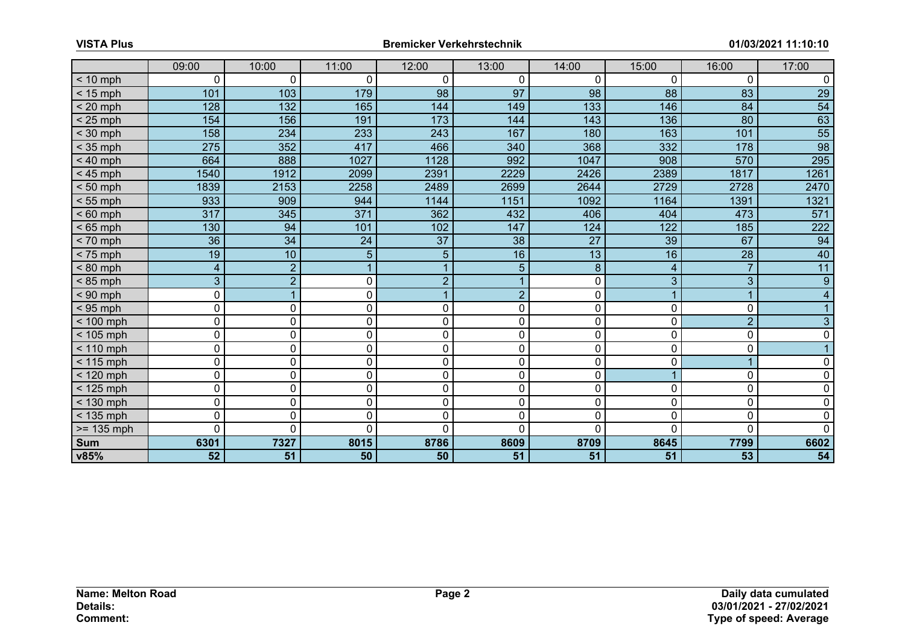|              | 09:00            | 10:00           | 11:00            | 12:00          | 13:00           | 14:00            | 15:00 | 16:00           | 17:00           |
|--------------|------------------|-----------------|------------------|----------------|-----------------|------------------|-------|-----------------|-----------------|
| $< 10$ mph   | $\mathbf 0$      | $\mathbf{0}$    | 0                | 0              | 0               | 0                | 0     | $\mathbf 0$     | 0               |
| $<$ 15 mph   | 101              | 103             | 179              | 98             | 97              | 98               | 88    | 83              | $\overline{29}$ |
| $< 20$ mph   | 128              | $132$           | 165              | 144            | 149             | $\overline{133}$ | 146   | 84              | $\overline{54}$ |
| $< 25$ mph   | 154              | 156             | 191              | 173            | 144             | 143              | 136   | 80              | 63              |
| $<$ 30 mph   | 158              | 234             | 233              | 243            | 167             | 180              | 163   | 101             | $\overline{55}$ |
| $<$ 35 mph   | $\overline{275}$ | 352             | 417              | 466            | 340             | 368              | 332   | 178             | $\overline{98}$ |
| $< 40$ mph   | 664              | 888             | 1027             | 1128           | 992             | 1047             | 908   | 570             | 295             |
| $< 45$ mph   | 1540             | 1912            | 2099             | 2391           | 2229            | 2426             | 2389  | 1817            | 1261            |
| $< 50$ mph   | 1839             | 2153            | 2258             | 2489           | 2699            | 2644             | 2729  | 2728            | 2470            |
| $< 55$ mph   | 933              | 909             | 944              | 1144           | 1151            | 1092             | 1164  | 1391            | 1321            |
| $< 60$ mph   | 317              | 345             | $\overline{371}$ | 362            | 432             | 406              | 404   | 473             | 571             |
| $< 65$ mph   | 130              | 94              | 101              | 102            | 147             | 124              | 122   | 185             | 222             |
| $< 70$ mph   | $\overline{36}$  | $\overline{34}$ | 24               | 37             | $\overline{38}$ | $\overline{27}$  | 39    | 67              | 94              |
| $< 75$ mph   | 19               | 10              | 5                | 5              | 16              | 13               | 16    | $\overline{28}$ | 40              |
| $< 80$ mph   | $\overline{4}$   | $\overline{2}$  |                  |                | 5               | $\boldsymbol{8}$ | 4     | $\overline{7}$  | $\overline{11}$ |
| $< 85$ mph   | 3                | $\overline{2}$  | 0                | $\overline{2}$ | 1               | 0                | 3     | 3               | $\overline{9}$  |
| $< 90$ mph   | 0                |                 | 0                |                | $\overline{2}$  | 0                |       | $\overline{1}$  | $\overline{4}$  |
| $< 95$ mph   | $\pmb{0}$        | 0               | 0                | $\mathbf 0$    | 0               | 0                | 0     | 0               |                 |
| $< 100$ mph  | 0                | 0               | 0                | $\mathbf 0$    | 0               | 0                | 0     | $\overline{2}$  | 3               |
| $< 105$ mph  | $\pmb{0}$        | 0               | 0                | $\mathbf 0$    | 0               | 0                | 0     | $\mathbf 0$     | $\mathbf 0$     |
| $< 110$ mph  | 0                | 0               | 0                | $\mathbf 0$    | 0               | 0                | 0     | 0               |                 |
| $< 115$ mph  | $\pmb{0}$        | 0               | 0                | $\mathbf 0$    | 0               | 0                | 0     | $\mathbf 1$     | 0               |
| $<$ 120 mph  | $\overline{0}$   | $\mathbf 0$     | 0                | $\mathbf 0$    | 0               | 0                |       | 0               | 0               |
| $< 125$ mph  | $\pmb{0}$        | 0               | 0                | $\mathbf 0$    | 0               | 0                | 0     | $\mathbf 0$     | $\mathbf 0$     |
| $< 130$ mph  | 0                | 0               | 0                | $\mathbf 0$    | 0               | 0                | 0     | $\mathbf 0$     | $\mathbf 0$     |
| $<$ 135 mph  | $\mathbf 0$      | 0               | $\mathbf 0$      | $\mathbf 0$    | 0               | 0                | 0     | $\mathbf 0$     | $\mathbf 0$     |
| $>= 135$ mph | 0                | $\Omega$        | 0                | $\Omega$       | $\overline{0}$  | 0                | U     | $\overline{0}$  | $\mathbf 0$     |
| <b>Sum</b>   | 6301             | 7327            | 8015             | 8786           | 8609            | 8709             | 8645  | 7799            | 6602            |
| v85%         | 52               | 51              | 50               | 50             | 51              | 51               | 51    | 53              | 54              |